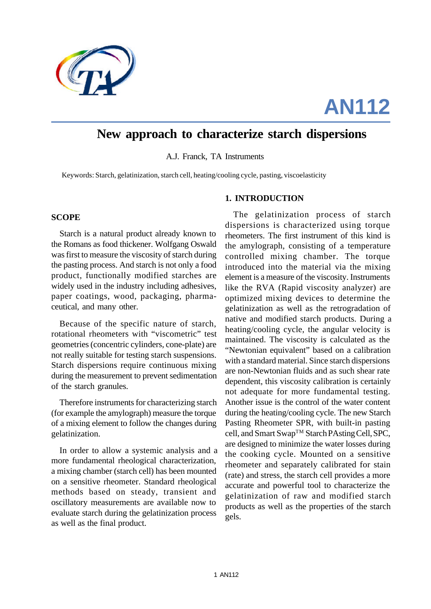

# **AN112**

## **New approach to characterize starch dispersions**

A.J. Franck, TA Instruments

Keywords: Starch, gelatinization, starch cell, heating/cooling cycle, pasting, viscoelasticity

#### **1. INTRODUCTION**

#### **SCOPE**

Starch is a natural product already known to the Romans as food thickener. Wolfgang Oswald was first to measure the viscosity of starch during the pasting process. And starch is not only a food product, functionally modified starches are widely used in the industry including adhesives, paper coatings, wood, packaging, pharmaceutical, and many other.

Because of the specific nature of starch, rotational rheometers with "viscometric" test geometries (concentric cylinders, cone-plate) are not really suitable for testing starch suspensions. Starch dispersions require continuous mixing during the measurement to prevent sedimentation of the starch granules.

Therefore instruments for characterizing starch (for example the amylograph) measure the torque of a mixing element to follow the changes during gelatinization.

In order to allow a systemic analysis and a more fundamental rheological characterization, a mixing chamber (starch cell) has been mounted on a sensitive rheometer. Standard rheological methods based on steady, transient and oscillatory measurements are available now to evaluate starch during the gelatinization process as well as the final product.

The gelatinization process of starch dispersions is characterized using torque rheometers. The first instrument of this kind is the amylograph, consisting of a temperature controlled mixing chamber. The torque introduced into the material via the mixing element is a measure of the viscosity. Instruments like the RVA (Rapid viscosity analyzer) are optimized mixing devices to determine the gelatinization as well as the retrogradation of native and modified starch products. During a heating/cooling cycle, the angular velocity is maintained. The viscosity is calculated as the "Newtonian equivalent" based on a calibration with a standard material. Since starch dispersions are non-Newtonian fluids and as such shear rate dependent, this viscosity calibration is certainly not adequate for more fundamental testing. Another issue is the control of the water content during the heating/cooling cycle. The new Starch Pasting Rheometer SPR, with built-in pasting cell, and Smart Swap<sup>™</sup> Starch PAsting Cell, SPC, are designed to minimize the water losses during the cooking cycle. Mounted on a sensitive rheometer and separately calibrated for stain (rate) and stress, the starch cell provides a more accurate and powerful tool to characterize the gelatinization of raw and modified starch products as well as the properties of the starch gels.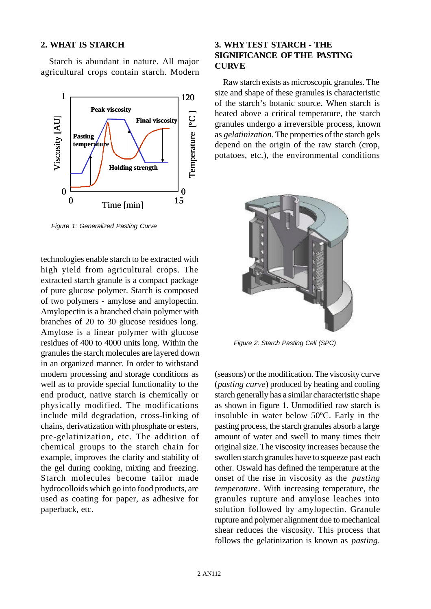#### **2. WHAT IS STARCH**

Starch is abundant in nature. All major agricultural crops contain starch. Modern



*Figure 1: Generalized Pasting Curve*

technologies enable starch to be extracted with high yield from agricultural crops. The extracted starch granule is a compact package of pure glucose polymer. Starch is composed of two polymers - amylose and amylopectin. Amylopectin is a branched chain polymer with branches of 20 to 30 glucose residues long. Amylose is a linear polymer with glucose residues of 400 to 4000 units long. Within the granules the starch molecules are layered down in an organized manner. In order to withstand modern processing and storage conditions as well as to provide special functionality to the end product, native starch is chemically or physically modified. The modifications include mild degradation, cross-linking of chains, derivatization with phosphate or esters, pre-gelatinization, etc. The addition of chemical groups to the starch chain for example, improves the clarity and stability of the gel during cooking, mixing and freezing. Starch molecules become tailor made hydrocolloids which go into food products, are used as coating for paper, as adhesive for paperback, etc.

### **3. WHY TEST STARCH - THE SIGNIFICANCE OF THE PASTING CURVE**

Raw starch exists as microscopic granules. The size and shape of these granules is characteristic of the starch's botanic source. When starch is heated above a critical temperature, the starch granules undergo a irreversible process, known as *gelatinization*. The properties of the starch gels depend on the origin of the raw starch (crop, potatoes, etc.), the environmental conditions



*Figure 2: Starch Pasting Cell (SPC)*

(seasons) or the modification. The viscosity curve (*pasting curve*) produced by heating and cooling starch generally has a similar characteristic shape as shown in figure 1. Unmodified raw starch is insoluble in water below 50ºC. Early in the pasting process, the starch granules absorb a large amount of water and swell to many times their original size. The viscosity increases because the swollen starch granules have to squeeze past each other. Oswald has defined the temperature at the onset of the rise in viscosity as the *pasting temperature*. With increasing temperature, the granules rupture and amylose leaches into solution followed by amylopectin. Granule rupture and polymer alignment due to mechanical shear reduces the viscosity. This process that follows the gelatinization is known as *pasting*.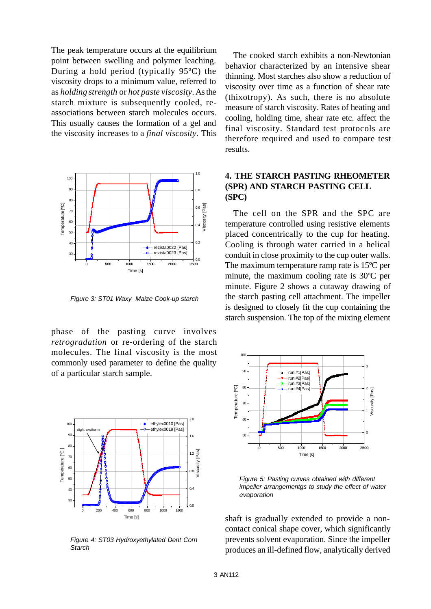The peak temperature occurs at the equilibrium point between swelling and polymer leaching. During a hold period (typically 95ºC) the viscosity drops to a minimum value, referred to as *holding strength* or *hot paste viscosity*. As the starch mixture is subsequently cooled, reassociations between starch molecules occurs. This usually causes the formation of a gel and the viscosity increases to a *final viscosity*. This



*Figure 3: ST01 Waxy Maize Cook-up starch*

phase of the pasting curve involves *retrogradation* or re-ordering of the starch molecules. The final viscosity is the most commonly used parameter to define the quality of a particular starch sample.



*Figure 4: ST03 Hydroxyethylated Dent Corn Starch*

The cooked starch exhibits a non-Newtonian behavior characterized by an intensive shear thinning. Most starches also show a reduction of viscosity over time as a function of shear rate (thixotropy). As such, there is no absolute measure of starch viscosity. Rates of heating and cooling, holding time, shear rate etc. affect the final viscosity. Standard test protocols are therefore required and used to compare test results.

#### **4. THE STARCH PASTING RHEOMETER (SPR) AND STARCH PASTING CELL (SPC)**

The cell on the SPR and the SPC are temperature controlled using resistive elements placed concentrically to the cup for heating. Cooling is through water carried in a helical conduit in close proximity to the cup outer walls. The maximum temperature ramp rate is 15ºC per minute, the maximum cooling rate is 30ºC per minute. Figure 2 shows a cutaway drawing of the starch pasting cell attachment. The impeller is designed to closely fit the cup containing the starch suspension. The top of the mixing element



*Figure 5: Pasting curves obtained with different impeller arrangementgs to study the effect of water evaporation*

shaft is gradually extended to provide a noncontact conical shape cover, which significantly prevents solvent evaporation. Since the impeller produces an ill-defined flow, analytically derived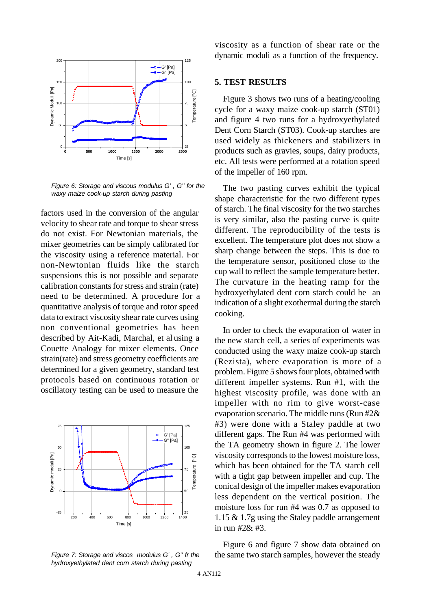

*Figure 6: Storage and viscous modulus G' , G'' for the waxy maize cook-up starch during pasting*

factors used in the conversion of the angular velocity to shear rate and torque to shear stress do not exist. For Newtonian materials, the mixer geometries can be simply calibrated for the viscosity using a reference material. For non-Newtonian fluids like the starch suspensions this is not possible and separate calibration constants for stress and strain (rate) need to be determined. A procedure for a quantitative analysis of torque and rotor speed data to extract viscosity shear rate curves using non conventional geometries has been described by Ait-Kadi, Marchal, et al using a Couette Analogy for mixer elements. Once strain(rate) and stress geometry coefficients are determined for a given geometry, standard test protocols based on continuous rotation or oscillatory testing can be used to measure the



*Figure 7: Storage and viscos modulus G' , G'' fr the hydroxyethylated dent corn starch during pasting*

viscosity as a function of shear rate or the dynamic moduli as a function of the frequency.

#### **5. TEST RESULTS**

Figure 3 shows two runs of a heating/cooling cycle for a waxy maize cook-up starch (ST01) and figure 4 two runs for a hydroxyethylated Dent Corn Starch (ST03). Cook-up starches are used widely as thickeners and stabilizers in products such as gravies, soups, dairy products, etc. All tests were performed at a rotation speed of the impeller of 160 rpm.

The two pasting curves exhibit the typical shape characteristic for the two different types of starch. The final viscosity for the two starches is very similar, also the pasting curve is quite different. The reproducibility of the tests is excellent. The temperature plot does not show a sharp change between the steps. This is due to the temperature sensor, positioned close to the cup wall to reflect the sample temperature better. The curvature in the heating ramp for the hydroxyethylated dent corn starch could be an indication of a slight exothermal during the starch cooking.

In order to check the evaporation of water in the new starch cell, a series of experiments was conducted using the waxy maize cook-up starch (Rezista), where evaporation is more of a problem. Figure 5 shows four plots, obtained with different impeller systems. Run #1, with the highest viscosity profile, was done with an impeller with no rim to give worst-case evaporation scenario. The middle runs (Run #2& #3) were done with a Staley paddle at two different gaps. The Run #4 was performed with the TA geometry shown in figure 2. The lower viscosity corresponds to the lowest moisture loss, which has been obtained for the TA starch cell with a tight gap between impeller and cup. The conical design of the impeller makes evaporation less dependent on the vertical position. The moisture loss for run #4 was 0.7 as opposed to 1.15 & 1.7g using the Staley paddle arrangement in run #2& #3.

Figure 6 and figure 7 show data obtained on the same two starch samples, however the steady